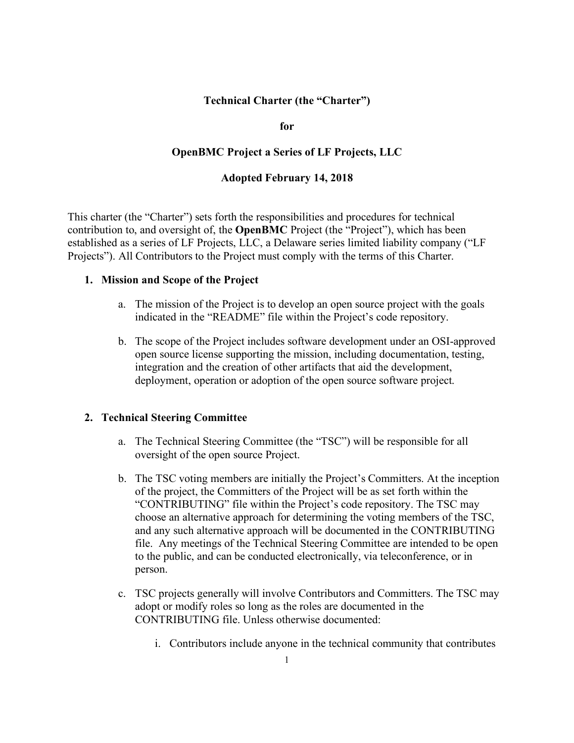## **Technical Charter (the "Charter")**

**for** 

### **OpenBMC Project a Series of LF Projects, LLC**

### **Adopted February 14, 2018**

This charter (the "Charter") sets forth the responsibilities and procedures for technical contribution to, and oversight of, the **OpenBMC** Project (the "Project"), which has been established as a series of LF Projects, LLC, a Delaware series limited liability company ("LF Projects"). All Contributors to the Project must comply with the terms of this Charter.

#### **1. Mission and Scope of the Project**

- a. The mission of the Project is to develop an open source project with the goals indicated in the "README" file within the Project's code repository.
- b. The scope of the Project includes software development under an OSI-approved open source license supporting the mission, including documentation, testing, integration and the creation of other artifacts that aid the development, deployment, operation or adoption of the open source software project.

### **2. Technical Steering Committee**

- a. The Technical Steering Committee (the "TSC") will be responsible for all oversight of the open source Project.
- b. The TSC voting members are initially the Project's Committers. At the inception of the project, the Committers of the Project will be as set forth within the "CONTRIBUTING" file within the Project's code repository. The TSC may choose an alternative approach for determining the voting members of the TSC, and any such alternative approach will be documented in the CONTRIBUTING file. Any meetings of the Technical Steering Committee are intended to be open to the public, and can be conducted electronically, via teleconference, or in person.
- c. TSC projects generally will involve Contributors and Committers. The TSC may adopt or modify roles so long as the roles are documented in the CONTRIBUTING file. Unless otherwise documented:
	- i. Contributors include anyone in the technical community that contributes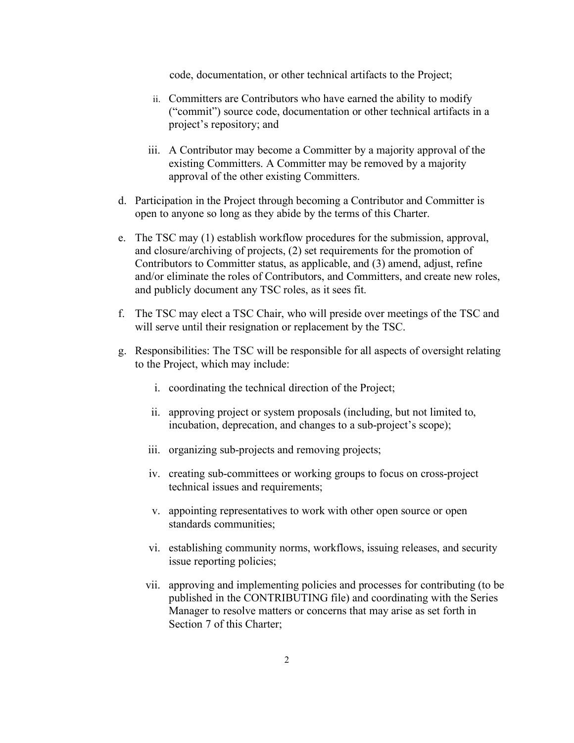code, documentation, or other technical artifacts to the Project;

- ii. Committers are Contributors who have earned the ability to modify ("commit") source code, documentation or other technical artifacts in a project's repository; and
- iii. A Contributor may become a Committer by a majority approval of the existing Committers. A Committer may be removed by a majority approval of the other existing Committers.
- d. Participation in the Project through becoming a Contributor and Committer is open to anyone so long as they abide by the terms of this Charter.
- e. The TSC may (1) establish workflow procedures for the submission, approval, and closure/archiving of projects, (2) set requirements for the promotion of Contributors to Committer status, as applicable, and (3) amend, adjust, refine and/or eliminate the roles of Contributors, and Committers, and create new roles, and publicly document any TSC roles, as it sees fit.
- f. The TSC may elect a TSC Chair, who will preside over meetings of the TSC and will serve until their resignation or replacement by the TSC.
- g. Responsibilities: The TSC will be responsible for all aspects of oversight relating to the Project, which may include:
	- i. coordinating the technical direction of the Project;
	- ii. approving project or system proposals (including, but not limited to, incubation, deprecation, and changes to a sub-project's scope);
	- iii. organizing sub-projects and removing projects;
	- iv. creating sub-committees or working groups to focus on cross-project technical issues and requirements;
	- v. appointing representatives to work with other open source or open standards communities;
	- vi. establishing community norms, workflows, issuing releases, and security issue reporting policies;
	- vii. approving and implementing policies and processes for contributing (to be published in the CONTRIBUTING file) and coordinating with the Series Manager to resolve matters or concerns that may arise as set forth in Section 7 of this Charter;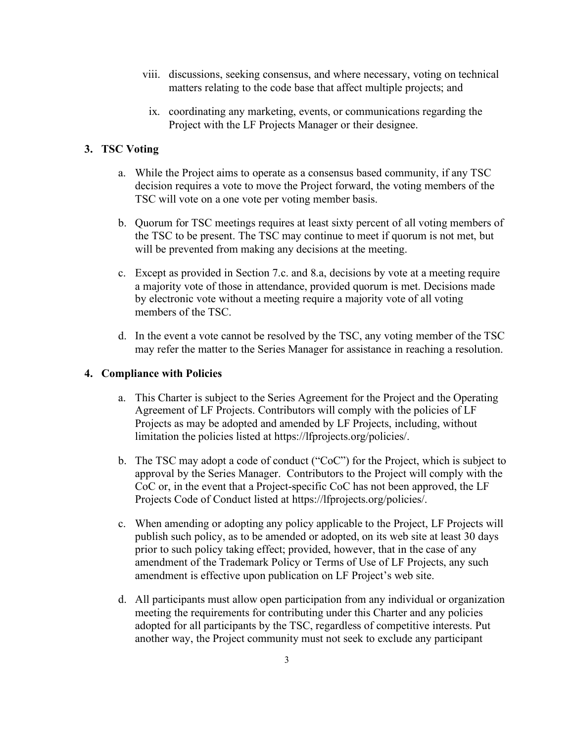- viii. discussions, seeking consensus, and where necessary, voting on technical matters relating to the code base that affect multiple projects; and
	- ix. coordinating any marketing, events, or communications regarding the Project with the LF Projects Manager or their designee.

# **3. TSC Voting**

- a. While the Project aims to operate as a consensus based community, if any TSC decision requires a vote to move the Project forward, the voting members of the TSC will vote on a one vote per voting member basis.
- b. Quorum for TSC meetings requires at least sixty percent of all voting members of the TSC to be present. The TSC may continue to meet if quorum is not met, but will be prevented from making any decisions at the meeting.
- c. Except as provided in Section 7.c. and 8.a, decisions by vote at a meeting require a majority vote of those in attendance, provided quorum is met. Decisions made by electronic vote without a meeting require a majority vote of all voting members of the TSC.
- d. In the event a vote cannot be resolved by the TSC, any voting member of the TSC may refer the matter to the Series Manager for assistance in reaching a resolution.

## **4. Compliance with Policies**

- a. This Charter is subject to the Series Agreement for the Project and the Operating Agreement of LF Projects. Contributors will comply with the policies of LF Projects as may be adopted and amended by LF Projects, including, without limitation the policies listed at https://lfprojects.org/policies/.
- b. The TSC may adopt a code of conduct ("CoC") for the Project, which is subject to approval by the Series Manager. Contributors to the Project will comply with the CoC or, in the event that a Project-specific CoC has not been approved, the LF Projects Code of Conduct listed at https://lfprojects.org/policies/.
- c. When amending or adopting any policy applicable to the Project, LF Projects will publish such policy, as to be amended or adopted, on its web site at least 30 days prior to such policy taking effect; provided, however, that in the case of any amendment of the Trademark Policy or Terms of Use of LF Projects, any such amendment is effective upon publication on LF Project's web site.
- d. All participants must allow open participation from any individual or organization meeting the requirements for contributing under this Charter and any policies adopted for all participants by the TSC, regardless of competitive interests. Put another way, the Project community must not seek to exclude any participant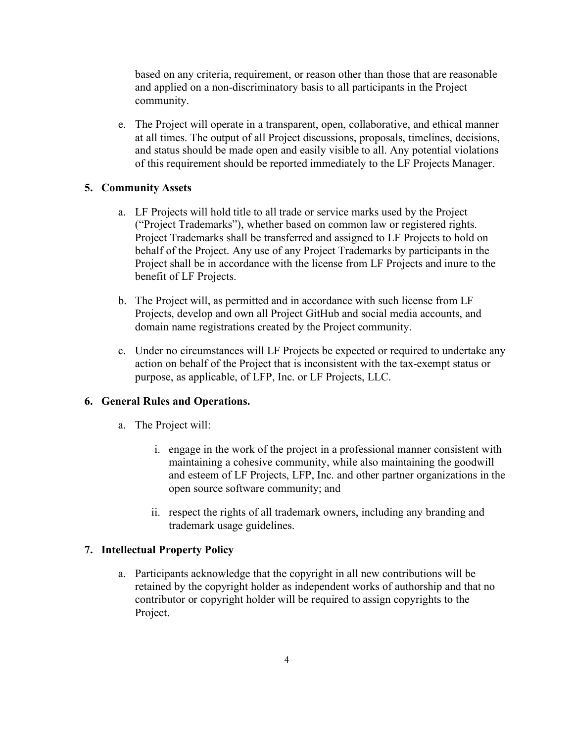based on any criteria, requirement, or reason other than those that are reasonable and applied on a non-discriminatory basis to all participants in the Project community.

e. The Project will operate in a transparent, open, collaborative, and ethical manner at all times. The output of all Project discussions, proposals, timelines, decisions, and status should be made open and easily visible to all. Any potential violations of this requirement should be reported immediately to the LF Projects Manager.

### **5. Community Assets**

- a. LF Projects will hold title to all trade or service marks used by the Project ("Project Trademarks"), whether based on common law or registered rights. Project Trademarks shall be transferred and assigned to LF Projects to hold on behalf of the Project. Any use of any Project Trademarks by participants in the Project shall be in accordance with the license from LF Projects and inure to the benefit of LF Projects.
- b. The Project will, as permitted and in accordance with such license from LF Projects, develop and own all Project GitHub and social media accounts, and domain name registrations created by the Project community.
- c. Under no circumstances will LF Projects be expected or required to undertake any action on behalf of the Project that is inconsistent with the tax-exempt status or purpose, as applicable, of LFP, Inc. or LF Projects, LLC.

### **6. General Rules and Operations.**

- a. The Project will:
	- i. engage in the work of the project in a professional manner consistent with maintaining a cohesive community, while also maintaining the goodwill and esteem of LF Projects, LFP, Inc. and other partner organizations in the open source software community; and
	- ii. respect the rights of all trademark owners, including any branding and trademark usage guidelines.

### **7. Intellectual Property Policy**

a. Participants acknowledge that the copyright in all new contributions will be retained by the copyright holder as independent works of authorship and that no contributor or copyright holder will be required to assign copyrights to the Project.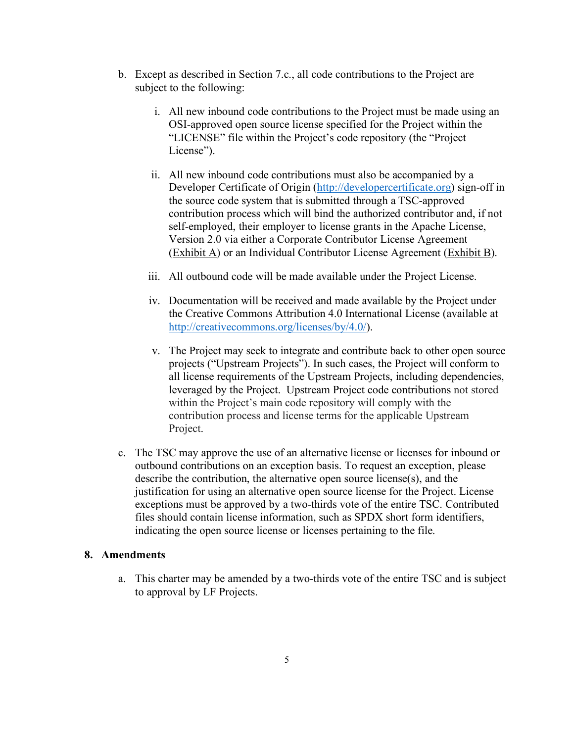- b. Except as described in Section 7.c., all code contributions to the Project are subject to the following:
	- i. All new inbound code contributions to the Project must be made using an OSI-approved open source license specified for the Project within the "LICENSE" file within the Project's code repository (the "Project License").
	- ii. All new inbound code contributions must also be accompanied by a Developer Certificate of Origin (http://developercertificate.org) sign-off in the source code system that is submitted through a TSC-approved contribution process which will bind the authorized contributor and, if not self-employed, their employer to license grants in the Apache License, Version 2.0 via either a Corporate Contributor License Agreement (Exhibit A) or an Individual Contributor License Agreement (Exhibit B).
	- iii. All outbound code will be made available under the Project License.
	- iv. Documentation will be received and made available by the Project under the Creative Commons Attribution 4.0 International License (available at http://creativecommons.org/licenses/by/4.0/).
	- v. The Project may seek to integrate and contribute back to other open source projects ("Upstream Projects"). In such cases, the Project will conform to all license requirements of the Upstream Projects, including dependencies, leveraged by the Project. Upstream Project code contributions not stored within the Project's main code repository will comply with the contribution process and license terms for the applicable Upstream Project.
- c. The TSC may approve the use of an alternative license or licenses for inbound or outbound contributions on an exception basis. To request an exception, please describe the contribution, the alternative open source license(s), and the justification for using an alternative open source license for the Project. License exceptions must be approved by a two-thirds vote of the entire TSC. Contributed files should contain license information, such as SPDX short form identifiers, indicating the open source license or licenses pertaining to the file.

### **8. Amendments**

a. This charter may be amended by a two-thirds vote of the entire TSC and is subject to approval by LF Projects.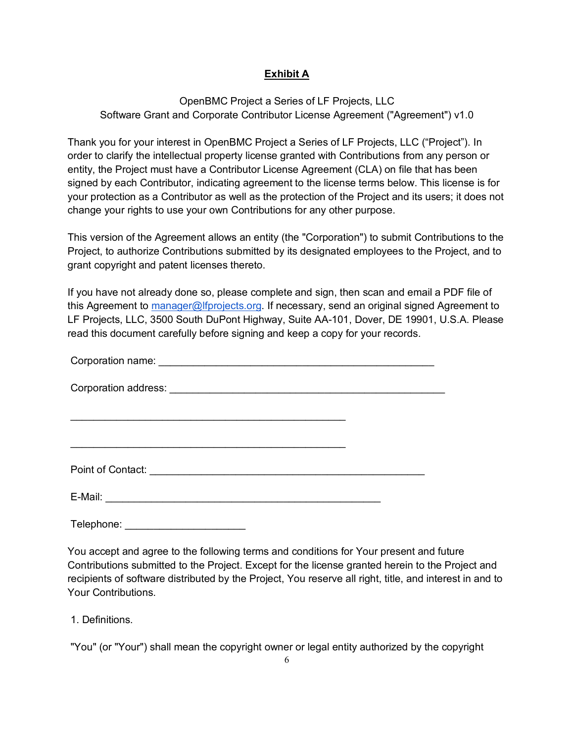# **Exhibit A**

OpenBMC Project a Series of LF Projects, LLC Software Grant and Corporate Contributor License Agreement ("Agreement") v1.0

Thank you for your interest in OpenBMC Project a Series of LF Projects, LLC ("Project"). In order to clarify the intellectual property license granted with Contributions from any person or entity, the Project must have a Contributor License Agreement (CLA) on file that has been signed by each Contributor, indicating agreement to the license terms below. This license is for your protection as a Contributor as well as the protection of the Project and its users; it does not change your rights to use your own Contributions for any other purpose.

This version of the Agreement allows an entity (the "Corporation") to submit Contributions to the Project, to authorize Contributions submitted by its designated employees to the Project, and to grant copyright and patent licenses thereto.

If you have not already done so, please complete and sign, then scan and email a PDF file of this Agreement to manager@lfprojects.org. If necessary, send an original signed Agreement to LF Projects, LLC, 3500 South DuPont Highway, Suite AA-101, Dover, DE 19901, U.S.A. Please read this document carefully before signing and keep a copy for your records.

| E-Mail: |  |
|---------|--|

Telephone: \_\_\_\_\_\_\_\_\_\_\_\_\_\_\_\_\_\_\_\_\_

You accept and agree to the following terms and conditions for Your present and future Contributions submitted to the Project. Except for the license granted herein to the Project and recipients of software distributed by the Project, You reserve all right, title, and interest in and to Your Contributions.

1. Definitions.

"You" (or "Your") shall mean the copyright owner or legal entity authorized by the copyright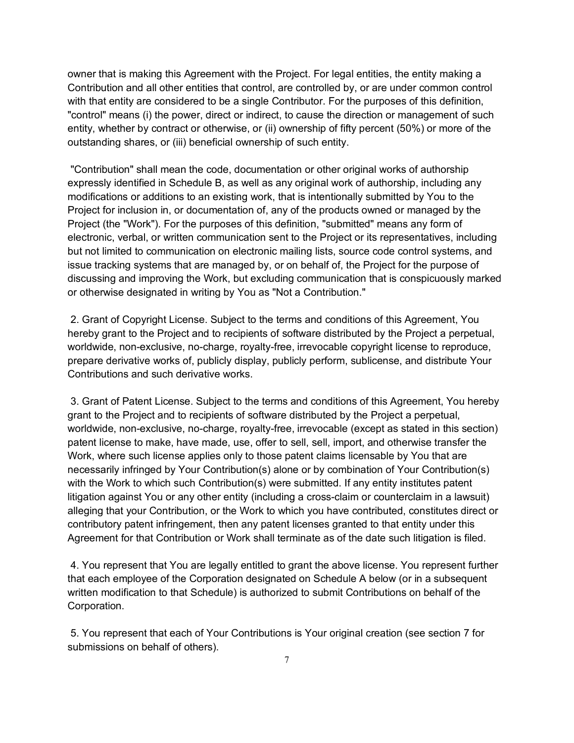owner that is making this Agreement with the Project. For legal entities, the entity making a Contribution and all other entities that control, are controlled by, or are under common control with that entity are considered to be a single Contributor. For the purposes of this definition, "control" means (i) the power, direct or indirect, to cause the direction or management of such entity, whether by contract or otherwise, or (ii) ownership of fifty percent (50%) or more of the outstanding shares, or (iii) beneficial ownership of such entity.

"Contribution" shall mean the code, documentation or other original works of authorship expressly identified in Schedule B, as well as any original work of authorship, including any modifications or additions to an existing work, that is intentionally submitted by You to the Project for inclusion in, or documentation of, any of the products owned or managed by the Project (the "Work"). For the purposes of this definition, "submitted" means any form of electronic, verbal, or written communication sent to the Project or its representatives, including but not limited to communication on electronic mailing lists, source code control systems, and issue tracking systems that are managed by, or on behalf of, the Project for the purpose of discussing and improving the Work, but excluding communication that is conspicuously marked or otherwise designated in writing by You as "Not a Contribution."

2. Grant of Copyright License. Subject to the terms and conditions of this Agreement, You hereby grant to the Project and to recipients of software distributed by the Project a perpetual, worldwide, non-exclusive, no-charge, royalty-free, irrevocable copyright license to reproduce, prepare derivative works of, publicly display, publicly perform, sublicense, and distribute Your Contributions and such derivative works.

3. Grant of Patent License. Subject to the terms and conditions of this Agreement, You hereby grant to the Project and to recipients of software distributed by the Project a perpetual, worldwide, non-exclusive, no-charge, royalty-free, irrevocable (except as stated in this section) patent license to make, have made, use, offer to sell, sell, import, and otherwise transfer the Work, where such license applies only to those patent claims licensable by You that are necessarily infringed by Your Contribution(s) alone or by combination of Your Contribution(s) with the Work to which such Contribution(s) were submitted. If any entity institutes patent litigation against You or any other entity (including a cross-claim or counterclaim in a lawsuit) alleging that your Contribution, or the Work to which you have contributed, constitutes direct or contributory patent infringement, then any patent licenses granted to that entity under this Agreement for that Contribution or Work shall terminate as of the date such litigation is filed.

4. You represent that You are legally entitled to grant the above license. You represent further that each employee of the Corporation designated on Schedule A below (or in a subsequent written modification to that Schedule) is authorized to submit Contributions on behalf of the Corporation.

5. You represent that each of Your Contributions is Your original creation (see section 7 for submissions on behalf of others).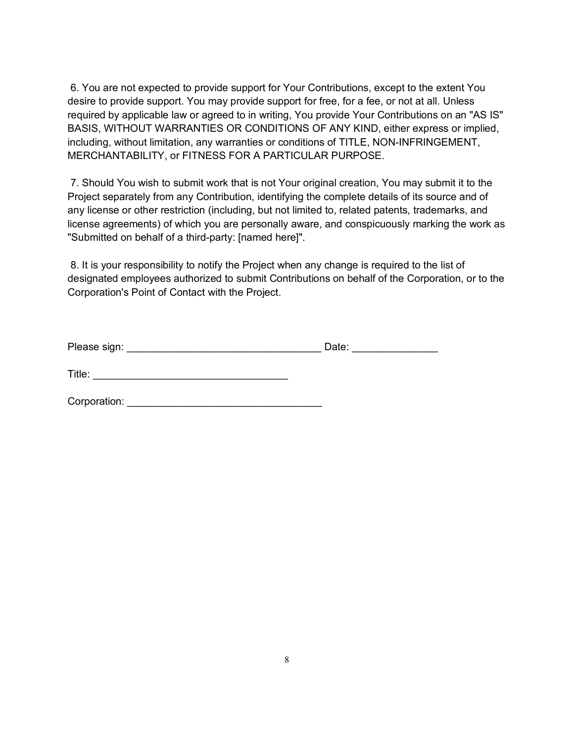6. You are not expected to provide support for Your Contributions, except to the extent You desire to provide support. You may provide support for free, for a fee, or not at all. Unless required by applicable law or agreed to in writing, You provide Your Contributions on an "AS IS" BASIS, WITHOUT WARRANTIES OR CONDITIONS OF ANY KIND, either express or implied, including, without limitation, any warranties or conditions of TITLE, NON-INFRINGEMENT, MERCHANTABILITY, or FITNESS FOR A PARTICULAR PURPOSE.

7. Should You wish to submit work that is not Your original creation, You may submit it to the Project separately from any Contribution, identifying the complete details of its source and of any license or other restriction (including, but not limited to, related patents, trademarks, and license agreements) of which you are personally aware, and conspicuously marking the work as "Submitted on behalf of a third-party: [named here]".

8. It is your responsibility to notify the Project when any change is required to the list of designated employees authorized to submit Contributions on behalf of the Corporation, or to the Corporation's Point of Contact with the Project.

| Please sign: | Date: |  |
|--------------|-------|--|
|              |       |  |

Title: \_\_\_\_\_\_\_\_\_\_\_\_\_\_\_\_\_\_\_\_\_\_\_\_\_\_\_\_\_\_\_\_\_\_

Corporation: \_\_\_\_\_\_\_\_\_\_\_\_\_\_\_\_\_\_\_\_\_\_\_\_\_\_\_\_\_\_\_\_\_\_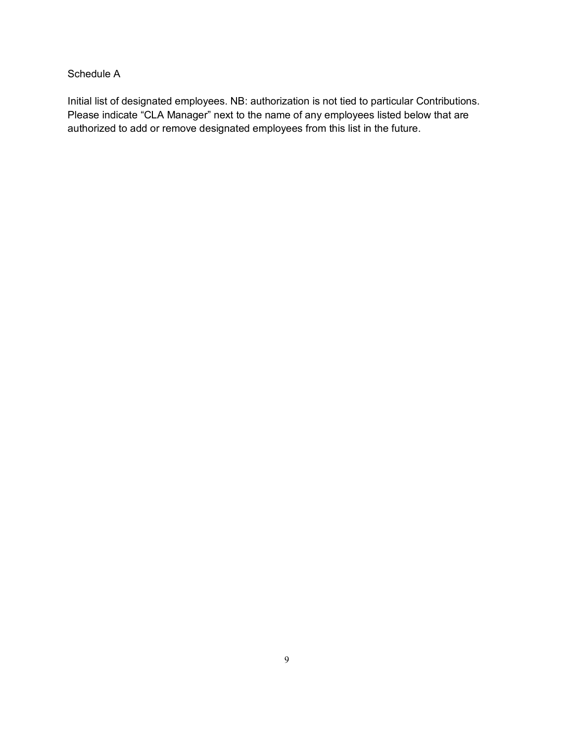## Schedule A

Initial list of designated employees. NB: authorization is not tied to particular Contributions. Please indicate "CLA Manager" next to the name of any employees listed below that are authorized to add or remove designated employees from this list in the future.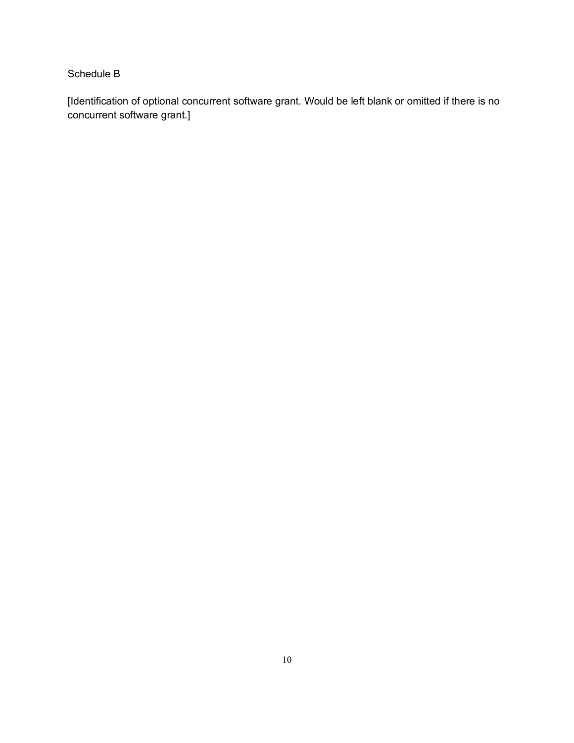# Schedule B

[Identification of optional concurrent software grant. Would be left blank or omitted if there is no concurrent software grant.]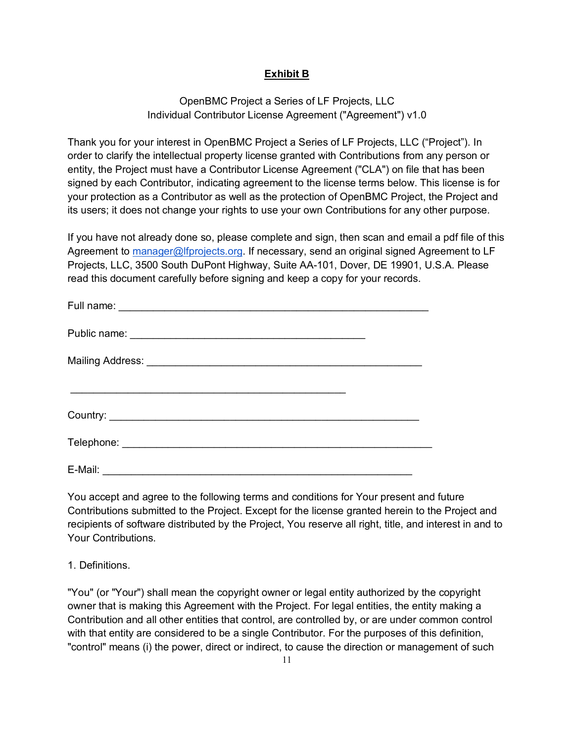# **Exhibit B**

## OpenBMC Project a Series of LF Projects, LLC Individual Contributor License Agreement ("Agreement") v1.0

Thank you for your interest in OpenBMC Project a Series of LF Projects, LLC ("Project"). In order to clarify the intellectual property license granted with Contributions from any person or entity, the Project must have a Contributor License Agreement ("CLA") on file that has been signed by each Contributor, indicating agreement to the license terms below. This license is for your protection as a Contributor as well as the protection of OpenBMC Project, the Project and its users; it does not change your rights to use your own Contributions for any other purpose.

If you have not already done so, please complete and sign, then scan and email a pdf file of this Agreement to manager@lfprojects.org. If necessary, send an original signed Agreement to LF Projects, LLC, 3500 South DuPont Highway, Suite AA-101, Dover, DE 19901, U.S.A. Please read this document carefully before signing and keep a copy for your records.

| E-Mail: |  |
|---------|--|

You accept and agree to the following terms and conditions for Your present and future Contributions submitted to the Project. Except for the license granted herein to the Project and recipients of software distributed by the Project, You reserve all right, title, and interest in and to Your Contributions.

1. Definitions.

"You" (or "Your") shall mean the copyright owner or legal entity authorized by the copyright owner that is making this Agreement with the Project. For legal entities, the entity making a Contribution and all other entities that control, are controlled by, or are under common control with that entity are considered to be a single Contributor. For the purposes of this definition, "control" means (i) the power, direct or indirect, to cause the direction or management of such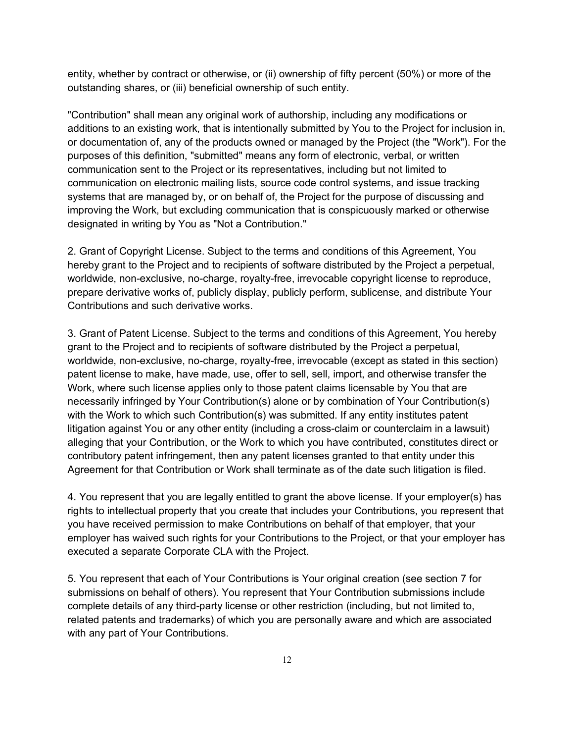entity, whether by contract or otherwise, or (ii) ownership of fifty percent (50%) or more of the outstanding shares, or (iii) beneficial ownership of such entity.

"Contribution" shall mean any original work of authorship, including any modifications or additions to an existing work, that is intentionally submitted by You to the Project for inclusion in, or documentation of, any of the products owned or managed by the Project (the "Work"). For the purposes of this definition, "submitted" means any form of electronic, verbal, or written communication sent to the Project or its representatives, including but not limited to communication on electronic mailing lists, source code control systems, and issue tracking systems that are managed by, or on behalf of, the Project for the purpose of discussing and improving the Work, but excluding communication that is conspicuously marked or otherwise designated in writing by You as "Not a Contribution."

2. Grant of Copyright License. Subject to the terms and conditions of this Agreement, You hereby grant to the Project and to recipients of software distributed by the Project a perpetual, worldwide, non-exclusive, no-charge, royalty-free, irrevocable copyright license to reproduce, prepare derivative works of, publicly display, publicly perform, sublicense, and distribute Your Contributions and such derivative works.

3. Grant of Patent License. Subject to the terms and conditions of this Agreement, You hereby grant to the Project and to recipients of software distributed by the Project a perpetual, worldwide, non-exclusive, no-charge, royalty-free, irrevocable (except as stated in this section) patent license to make, have made, use, offer to sell, sell, import, and otherwise transfer the Work, where such license applies only to those patent claims licensable by You that are necessarily infringed by Your Contribution(s) alone or by combination of Your Contribution(s) with the Work to which such Contribution(s) was submitted. If any entity institutes patent litigation against You or any other entity (including a cross-claim or counterclaim in a lawsuit) alleging that your Contribution, or the Work to which you have contributed, constitutes direct or contributory patent infringement, then any patent licenses granted to that entity under this Agreement for that Contribution or Work shall terminate as of the date such litigation is filed.

4. You represent that you are legally entitled to grant the above license. If your employer(s) has rights to intellectual property that you create that includes your Contributions, you represent that you have received permission to make Contributions on behalf of that employer, that your employer has waived such rights for your Contributions to the Project, or that your employer has executed a separate Corporate CLA with the Project.

5. You represent that each of Your Contributions is Your original creation (see section 7 for submissions on behalf of others). You represent that Your Contribution submissions include complete details of any third-party license or other restriction (including, but not limited to, related patents and trademarks) of which you are personally aware and which are associated with any part of Your Contributions.